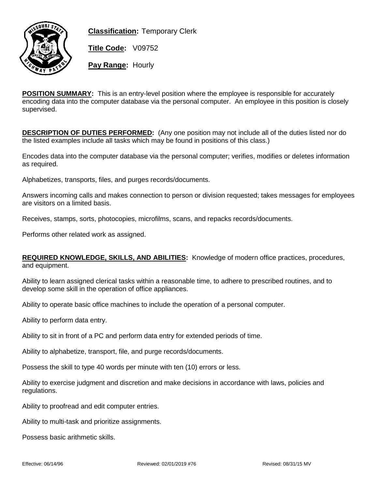

**Classification:** Temporary Clerk

**Title Code:** V09752

**Pay Range:** Hourly

**POSITION SUMMARY:** This is an entry-level position where the employee is responsible for accurately encoding data into the computer database via the personal computer. An employee in this position is closely supervised.

**DESCRIPTION OF DUTIES PERFORMED:** (Any one position may not include all of the duties listed nor do the listed examples include all tasks which may be found in positions of this class.)

Encodes data into the computer database via the personal computer; verifies, modifies or deletes information as required.

Alphabetizes, transports, files, and purges records/documents.

Answers incoming calls and makes connection to person or division requested; takes messages for employees are visitors on a limited basis.

Receives, stamps, sorts, photocopies, microfilms, scans, and repacks records/documents.

Performs other related work as assigned.

**REQUIRED KNOWLEDGE, SKILLS, AND ABILITIES:** Knowledge of modern office practices, procedures, and equipment.

Ability to learn assigned clerical tasks within a reasonable time, to adhere to prescribed routines, and to develop some skill in the operation of office appliances.

Ability to operate basic office machines to include the operation of a personal computer.

Ability to perform data entry.

Ability to sit in front of a PC and perform data entry for extended periods of time.

Ability to alphabetize, transport, file, and purge records/documents.

Possess the skill to type 40 words per minute with ten (10) errors or less.

Ability to exercise judgment and discretion and make decisions in accordance with laws, policies and regulations.

Ability to proofread and edit computer entries.

Ability to multi-task and prioritize assignments.

Possess basic arithmetic skills.